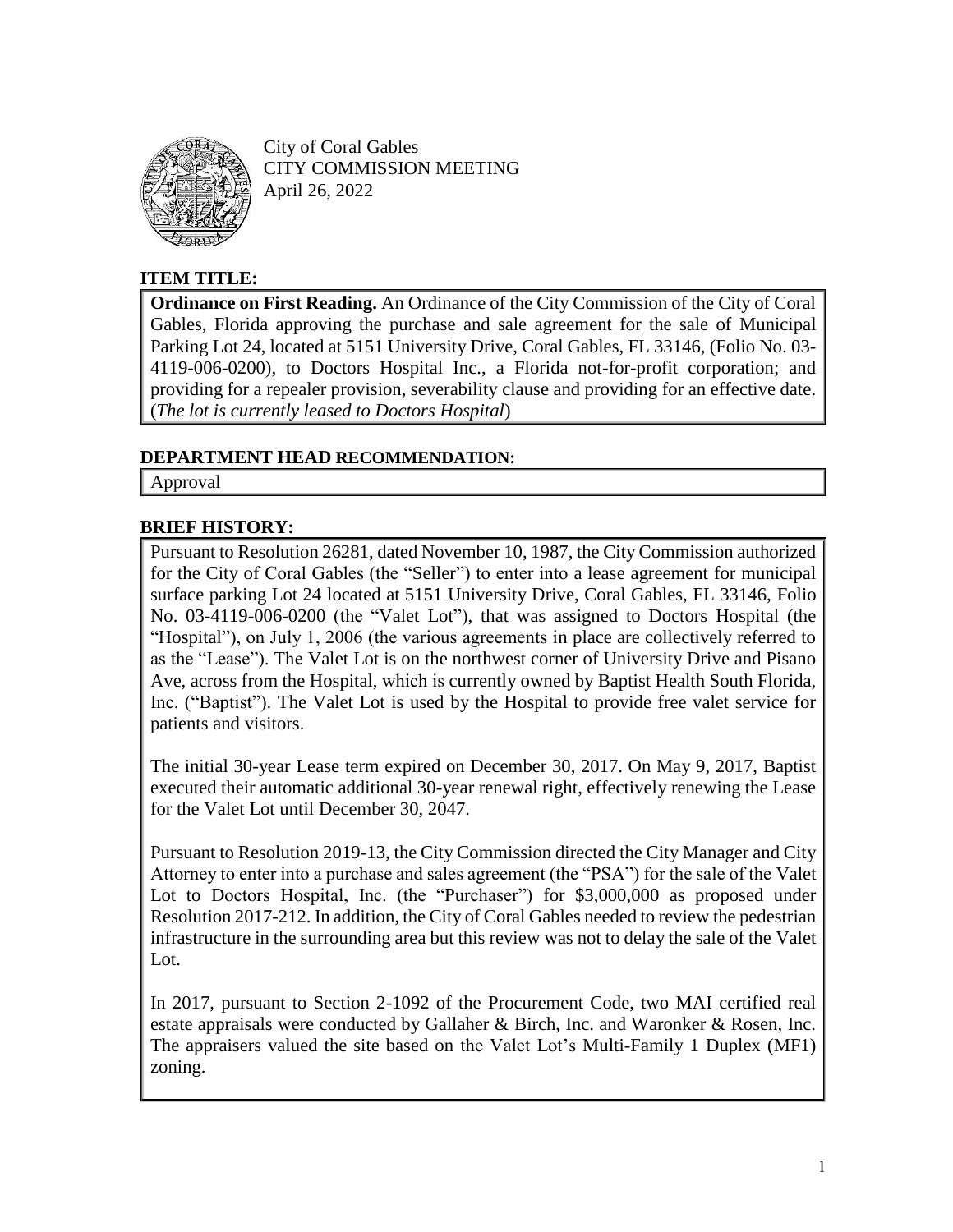

City of Coral Gables CITY COMMISSION MEETING April 26, 2022

# **ITEM TITLE:**

**Ordinance on First Reading.** An Ordinance of the City Commission of the City of Coral Gables, Florida approving the purchase and sale agreement for the sale of Municipal Parking Lot 24, located at 5151 University Drive, Coral Gables, FL 33146, (Folio No. 03- 4119-006-0200), to Doctors Hospital Inc., a Florida not-for-profit corporation; and providing for a repealer provision, severability clause and providing for an effective date. (*The lot is currently leased to Doctors Hospital*)

### **DEPARTMENT HEAD RECOMMENDATION:**

Approval

# **BRIEF HISTORY:**

Pursuant to Resolution 26281, dated November 10, 1987, the City Commission authorized for the City of Coral Gables (the "Seller") to enter into a lease agreement for municipal surface parking Lot 24 located at 5151 University Drive, Coral Gables, FL 33146, Folio No. 03-4119-006-0200 (the "Valet Lot"), that was assigned to Doctors Hospital (the "Hospital"), on July 1, 2006 (the various agreements in place are collectively referred to as the "Lease"). The Valet Lot is on the northwest corner of University Drive and Pisano Ave, across from the Hospital, which is currently owned by Baptist Health South Florida, Inc. ("Baptist"). The Valet Lot is used by the Hospital to provide free valet service for patients and visitors.

The initial 30-year Lease term expired on December 30, 2017. On May 9, 2017, Baptist executed their automatic additional 30-year renewal right, effectively renewing the Lease for the Valet Lot until December 30, 2047.

Pursuant to Resolution 2019-13, the City Commission directed the City Manager and City Attorney to enter into a purchase and sales agreement (the "PSA") for the sale of the Valet Lot to Doctors Hospital, Inc. (the "Purchaser") for \$3,000,000 as proposed under Resolution 2017-212. In addition, the City of Coral Gables needed to review the pedestrian infrastructure in the surrounding area but this review was not to delay the sale of the Valet Lot.

In 2017, pursuant to Section 2-1092 of the Procurement Code, two MAI certified real estate appraisals were conducted by Gallaher & Birch, Inc. and Waronker & Rosen, Inc. The appraisers valued the site based on the Valet Lot's Multi-Family 1 Duplex (MF1) zoning.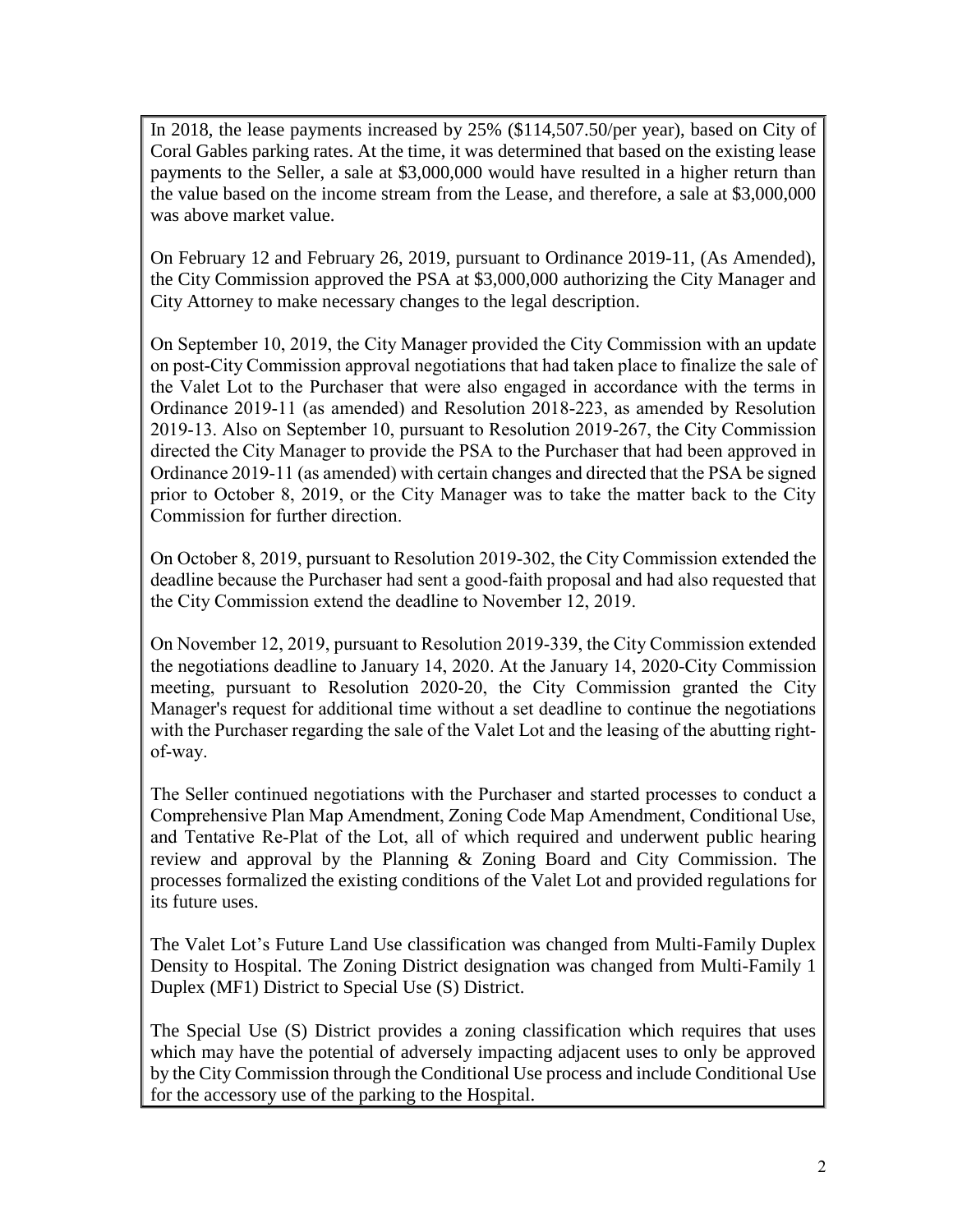In 2018, the lease payments increased by 25% (\$114,507.50/per year), based on City of Coral Gables parking rates. At the time, it was determined that based on the existing lease payments to the Seller, a sale at \$3,000,000 would have resulted in a higher return than the value based on the income stream from the Lease, and therefore, a sale at \$3,000,000 was above market value.

On February 12 and February 26, 2019, pursuant to Ordinance 2019-11, (As Amended), the City Commission approved the PSA at \$3,000,000 authorizing the City Manager and City Attorney to make necessary changes to the legal description.

On September 10, 2019, the City Manager provided the City Commission with an update on post-City Commission approval negotiations that had taken place to finalize the sale of the Valet Lot to the Purchaser that were also engaged in accordance with the terms in Ordinance 2019-11 (as amended) and Resolution 2018-223, as amended by Resolution 2019-13. Also on September 10, pursuant to Resolution 2019-267, the City Commission directed the City Manager to provide the PSA to the Purchaser that had been approved in Ordinance 2019-11 (as amended) with certain changes and directed that the PSA be signed prior to October 8, 2019, or the City Manager was to take the matter back to the City Commission for further direction.

On October 8, 2019, pursuant to Resolution 2019-302, the City Commission extended the deadline because the Purchaser had sent a good-faith proposal and had also requested that the City Commission extend the deadline to November 12, 2019.

On November 12, 2019, pursuant to Resolution 2019-339, the City Commission extended the negotiations deadline to January 14, 2020. At the January 14, 2020-City Commission meeting, pursuant to Resolution 2020-20, the City Commission granted the City Manager's request for additional time without a set deadline to continue the negotiations with the Purchaser regarding the sale of the Valet Lot and the leasing of the abutting rightof-way.

The Seller continued negotiations with the Purchaser and started processes to conduct a Comprehensive Plan Map Amendment, Zoning Code Map Amendment, Conditional Use, and Tentative Re-Plat of the Lot, all of which required and underwent public hearing review and approval by the Planning & Zoning Board and City Commission. The processes formalized the existing conditions of the Valet Lot and provided regulations for its future uses.

The Valet Lot's Future Land Use classification was changed from Multi-Family Duplex Density to Hospital. The Zoning District designation was changed from Multi-Family 1 Duplex (MF1) District to Special Use (S) District.

The Special Use (S) District provides a zoning classification which requires that uses which may have the potential of adversely impacting adjacent uses to only be approved by the City Commission through the Conditional Use process and include Conditional Use for the accessory use of the parking to the Hospital.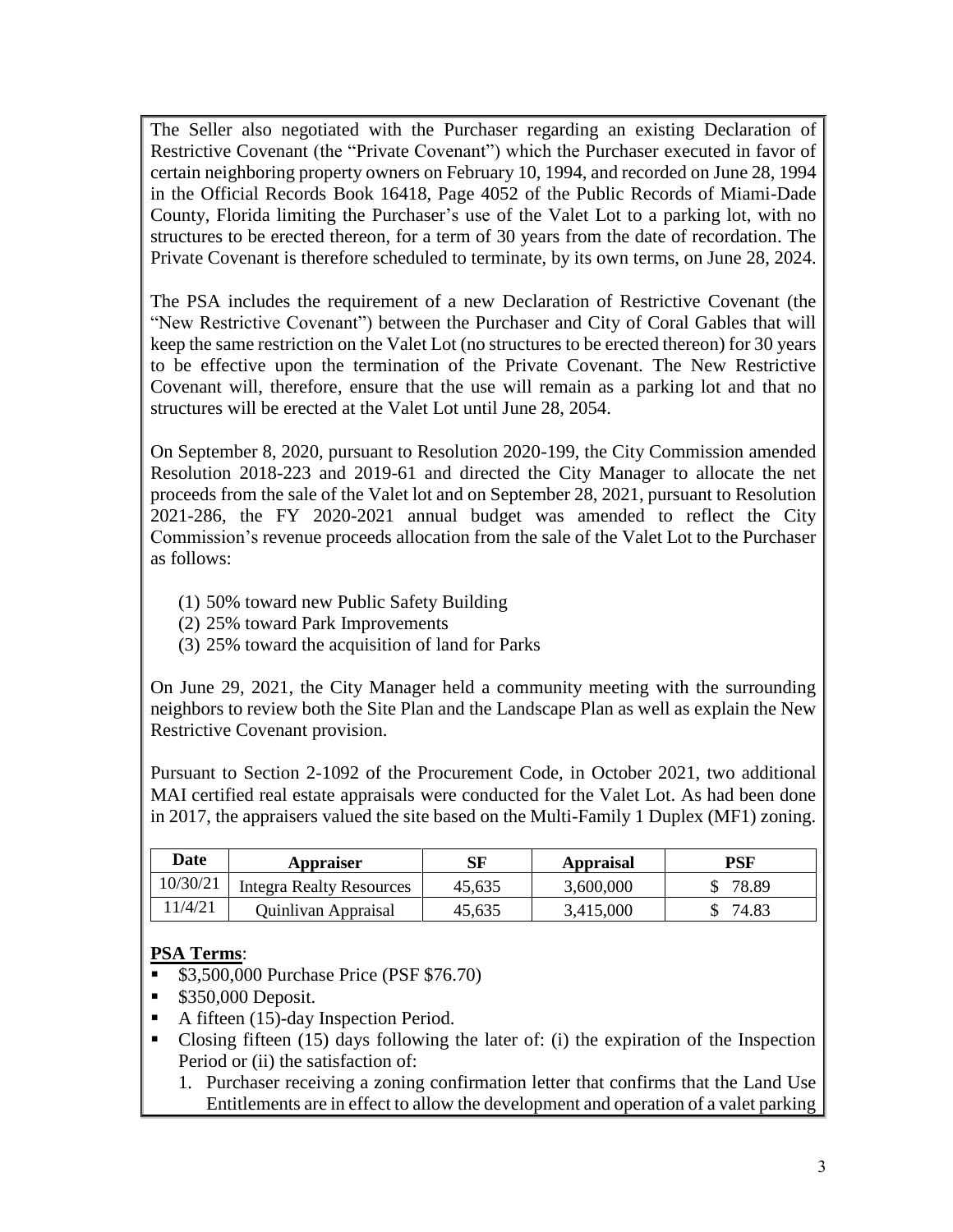The Seller also negotiated with the Purchaser regarding an existing Declaration of Restrictive Covenant (the "Private Covenant") which the Purchaser executed in favor of certain neighboring property owners on February 10, 1994, and recorded on June 28, 1994 in the Official Records Book 16418, Page 4052 of the Public Records of Miami-Dade County, Florida limiting the Purchaser's use of the Valet Lot to a parking lot, with no structures to be erected thereon, for a term of 30 years from the date of recordation. The Private Covenant is therefore scheduled to terminate, by its own terms, on June 28, 2024.

The PSA includes the requirement of a new Declaration of Restrictive Covenant (the "New Restrictive Covenant") between the Purchaser and City of Coral Gables that will keep the same restriction on the Valet Lot (no structures to be erected thereon) for 30 years to be effective upon the termination of the Private Covenant. The New Restrictive Covenant will, therefore, ensure that the use will remain as a parking lot and that no structures will be erected at the Valet Lot until June 28, 2054.

On September 8, 2020, pursuant to Resolution 2020-199, the City Commission amended Resolution 2018-223 and 2019-61 and directed the City Manager to allocate the net proceeds from the sale of the Valet lot and on September 28, 2021, pursuant to Resolution 2021-286, the FY 2020-2021 annual budget was amended to reflect the City Commission's revenue proceeds allocation from the sale of the Valet Lot to the Purchaser as follows:

- (1) 50% toward new Public Safety Building
- (2) 25% toward Park Improvements
- (3) 25% toward the acquisition of land for Parks

On June 29, 2021, the City Manager held a community meeting with the surrounding neighbors to review both the Site Plan and the Landscape Plan as well as explain the New Restrictive Covenant provision.

Pursuant to Section 2-1092 of the Procurement Code, in October 2021, two additional MAI certified real estate appraisals were conducted for the Valet Lot. As had been done in 2017, the appraisers valued the site based on the Multi-Family 1 Duplex (MF1) zoning.

| Date     | <b>Appraiser</b>                | SF     | <b>Appraisal</b> | PSF   |
|----------|---------------------------------|--------|------------------|-------|
| 10/30/21 | <b>Integra Realty Resources</b> | 45,635 | 3,600,000        | 78.89 |
| 11/4/21  | Quinlivan Appraisal             | 45,635 | 3.415.000        | 74.83 |

# **PSA Terms**:

- **\$3,500,000 Purchase Price (PSF \$76.70)**
- \$350,000 Deposit.
- A fifteen (15)-day Inspection Period.
- Closing fifteen (15) days following the later of: (i) the expiration of the Inspection Period or (ii) the satisfaction of:
	- 1. Purchaser receiving a zoning confirmation letter that confirms that the Land Use Entitlements are in effect to allow the development and operation of a valet parking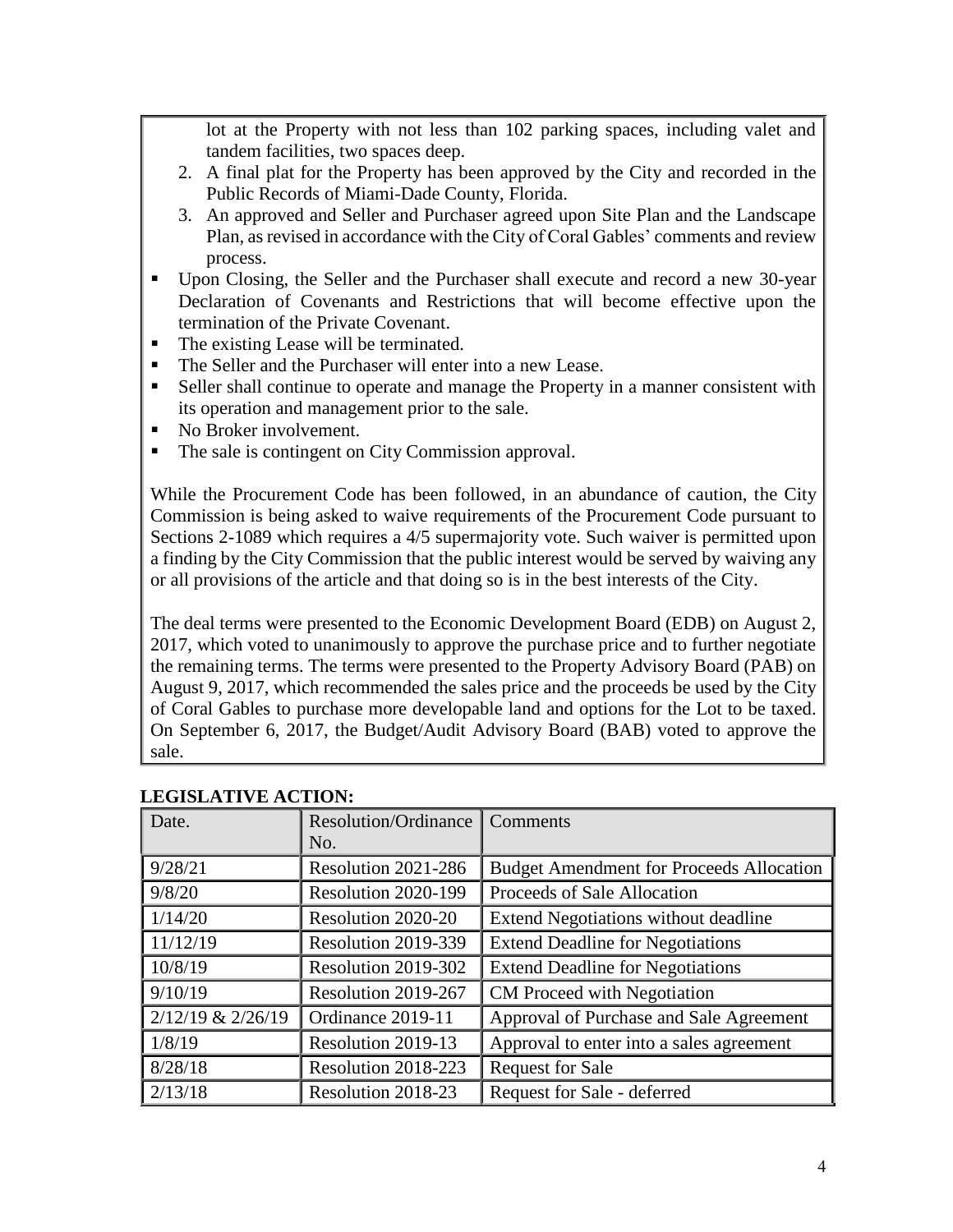lot at the Property with not less than 102 parking spaces, including valet and tandem facilities, two spaces deep.

- 2. A final plat for the Property has been approved by the City and recorded in the Public Records of Miami-Dade County, Florida.
- 3. An approved and Seller and Purchaser agreed upon Site Plan and the Landscape Plan, as revised in accordance with the City of Coral Gables' comments and review process.
- Upon Closing, the Seller and the Purchaser shall execute and record a new 30-year Declaration of Covenants and Restrictions that will become effective upon the termination of the Private Covenant.
- The existing Lease will be terminated.
- The Seller and the Purchaser will enter into a new Lease.
- Seller shall continue to operate and manage the Property in a manner consistent with its operation and management prior to the sale.
- No Broker involvement.
- The sale is contingent on City Commission approval.

While the Procurement Code has been followed, in an abundance of caution, the City Commission is being asked to waive requirements of the Procurement Code pursuant to Sections 2-1089 which requires a 4/5 supermajority vote. Such waiver is permitted upon a finding by the City Commission that the public interest would be served by waiving any or all provisions of the article and that doing so is in the best interests of the City.

The deal terms were presented to the Economic Development Board (EDB) on August 2, 2017, which voted to unanimously to approve the purchase price and to further negotiate the remaining terms. The terms were presented to the Property Advisory Board (PAB) on August 9, 2017, which recommended the sales price and the proceeds be used by the City of Coral Gables to purchase more developable land and options for the Lot to be taxed. On September 6, 2017, the Budget/Audit Advisory Board (BAB) voted to approve the sale.

| есчении с астрон. |                             |                                                 |  |
|-------------------|-----------------------------|-------------------------------------------------|--|
| Date.             | <b>Resolution/Ordinance</b> | Comments                                        |  |
|                   | No.                         |                                                 |  |
| 9/28/21           | Resolution 2021-286         | <b>Budget Amendment for Proceeds Allocation</b> |  |
| 9/8/20            | Resolution 2020-199         | Proceeds of Sale Allocation                     |  |
| 1/14/20           | Resolution 2020-20          | Extend Negotiations without deadline            |  |
| 11/12/19          | Resolution 2019-339         | <b>Extend Deadline for Negotiations</b>         |  |
| 10/8/19           | Resolution 2019-302         | <b>Extend Deadline for Negotiations</b>         |  |
| 9/10/19           | Resolution 2019-267         | CM Proceed with Negotiation                     |  |
| 2/12/19 & 2/26/19 | Ordinance 2019-11           | Approval of Purchase and Sale Agreement         |  |
| 1/8/19            | Resolution 2019-13          | Approval to enter into a sales agreement        |  |
| 8/28/18           | Resolution 2018-223         | <b>Request for Sale</b>                         |  |
| 2/13/18           | Resolution 2018-23          | Request for Sale - deferred                     |  |

### **LEGISLATIVE ACTION:**